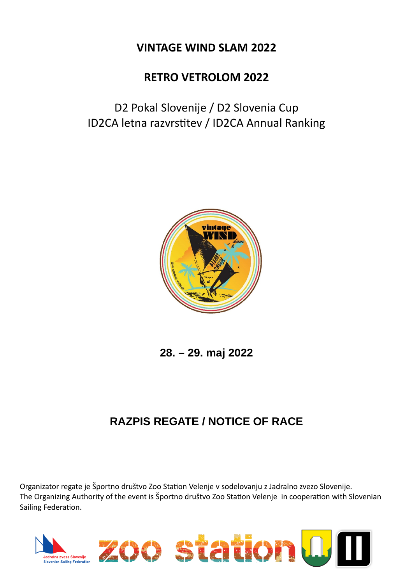## **VINTAGE WIND SLAM 2022**

## **RETRO VETROLOM 2022**

D2 Pokal Slovenije / D2 Slovenia Cup ID2CA letna razvrstitev / ID2CA Annual Ranking



**28. – 29. maj 2022**

## **RAZPIS REGATE / NOTICE OF RACE**

Organizator regate je Športno društvo Zoo Station Velenje v sodelovanju z Jadralno zvezo Slovenije. The Organizing Authority of the event is Športno društvo Zoo Station Velenje in cooperation with Slovenian Sailing Federation.

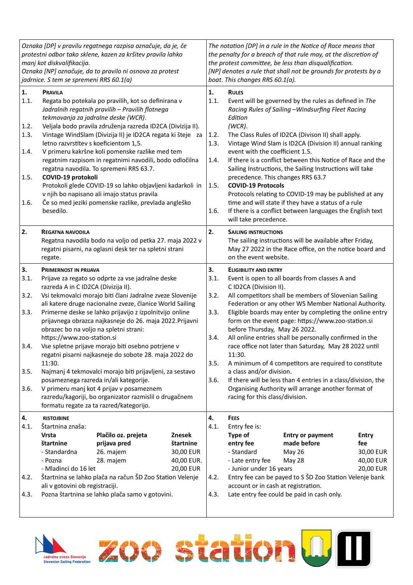| Oznaka [DP] v pravilu regatnega razpisa označuje, da je, če<br>protestni odbor tako sklene, kazen za kršitev pravila lahko<br>manj kot diskvalifikacija.<br>Oznaka [NP] označuje, da to pravilo ni osnova za protest<br>jadrnice. S tem se spremeni RRS 60.1(a) |                                                                                                                                                                                                                                                                                                                                                                                                                                                                                                                                                                                                                                                                                                                                                                                                                                 |                                                                                                                                                                              | The notation [DP] in a rule in the Notice of Race means that<br>the penalty for a breach of that rule may, at the discretion of<br>the protest committee, be less than disqualification.<br>[NP] denotes a rule that shall not be grounds for protests by a<br>boat. This changes RRS 60.1(a). |                                                    |                                                                                                                                                                                                                                                                                                                                                                                                                                                                                                                                                                                                                                                                                                                                                              |                                                                                                                                                                     |                                                            |  |
|-----------------------------------------------------------------------------------------------------------------------------------------------------------------------------------------------------------------------------------------------------------------|---------------------------------------------------------------------------------------------------------------------------------------------------------------------------------------------------------------------------------------------------------------------------------------------------------------------------------------------------------------------------------------------------------------------------------------------------------------------------------------------------------------------------------------------------------------------------------------------------------------------------------------------------------------------------------------------------------------------------------------------------------------------------------------------------------------------------------|------------------------------------------------------------------------------------------------------------------------------------------------------------------------------|------------------------------------------------------------------------------------------------------------------------------------------------------------------------------------------------------------------------------------------------------------------------------------------------|----------------------------------------------------|--------------------------------------------------------------------------------------------------------------------------------------------------------------------------------------------------------------------------------------------------------------------------------------------------------------------------------------------------------------------------------------------------------------------------------------------------------------------------------------------------------------------------------------------------------------------------------------------------------------------------------------------------------------------------------------------------------------------------------------------------------------|---------------------------------------------------------------------------------------------------------------------------------------------------------------------|------------------------------------------------------------|--|
| 1.<br>1.1.<br>1.2.<br>1.3.<br>1.4.<br>1.5.<br>1.6.                                                                                                                                                                                                              | <b>PRAVILA</b><br>Regata bo potekala po pravilih, kot so definirana v<br>Jadralnih regatnih pravilih - Pravilih flotnega<br>tekmovanja za jadralne deske (WCR).<br>Veljala bodo pravila združenja razreda ID2CA (Divizija II).<br>Vintage WindSlam (Divizija II) je ID2CA regata ki šteje za<br>letno razvrstitev s koeficientom 1,5.<br>V primeru kakršne koli pomenske razlike med tem<br>regatnim razpisom in regatnimi navodili, bodo odločilna<br>regatna navodila. To spremeni RRS 63.7.<br>COVID-19 protokoli<br>Protokoli glede COVID-19 so lahko objavljeni kadarkoli in<br>v njih bo napisano ali imajo status pravila<br>Če so med jeziki pomenske razlike, prevlada angleško<br>besedilo.                                                                                                                           |                                                                                                                                                                              |                                                                                                                                                                                                                                                                                                | 1.<br>1.1.<br>1.2.<br>1.3.<br>1.4.<br>1.5.<br>1.6. | <b>RULES</b><br>Event will be governed by the rules as defined in The<br>Racing Rules of Sailing -Windsurfing Fleet Racing<br>Edition<br>$(WCR)$ .<br>The Class Rules of ID2CA (Divison II) shall apply.<br>Vintage Wind Slam is ID2CA (Division II) annual ranking<br>event with the coefficient 1.5.<br>If there is a conflict between this Notice of Race and the<br>Sailing Instructions, the Sailing Instructions will take<br>precedence. This changes RRS 63.7<br><b>COVID-19 Protocols</b><br>Protocols relating to COVID-19 may be published at any<br>time and will state if they have a status of a rule<br>If there is a conflict between languages the English text<br>will take precedence.                                                    |                                                                                                                                                                     |                                                            |  |
| 2.                                                                                                                                                                                                                                                              | <b>REGATNA NAVODILA</b><br>Regatna navodila bodo na voljo od petka 27. maja 2022 v<br>regatni pisarni, na oglasni desk ter na spletni strani<br>regate.                                                                                                                                                                                                                                                                                                                                                                                                                                                                                                                                                                                                                                                                         |                                                                                                                                                                              |                                                                                                                                                                                                                                                                                                | 2.                                                 | <b>SAILING INSTRUCTIONS</b><br>The sailing instructions will be available after Friday,<br>May 27 2022 in the Race office, on the notice board and<br>on the event website.                                                                                                                                                                                                                                                                                                                                                                                                                                                                                                                                                                                  |                                                                                                                                                                     |                                                            |  |
| 3.<br>3.1.<br>3.2.<br>3.3.<br>3.4.<br>3.5.<br>3.6.                                                                                                                                                                                                              | <b>PRIMERNOST IN PRIJAVA</b><br>Prijave za regato so odprte za vse jadralne deske<br>razreda A in C ID2CA (Divizija II).<br>Vsi tekmovalci morajo biti člani Jadralne zveze Slovenije<br>ali katere druge nacionalne zveze, članice World Sailing<br>Primerne deske se lahko prijavijo z izpolnitvijo online<br>prijavnega obrazca najkasneje do 26. maja 2022. Prijavni<br>obrazec bo na voljo na spletni strani:<br>https://www.zoo-station.si<br>Vse spletne prijave morajo biti osebno potrjene v<br>regatni pisarni najkasneje do sobote 28. maja 2022 do<br>11:30.<br>Najmanj 4 tekmovalci morajo biti prijavljeni, za sestavo<br>posameznega razreda in/ali kategorije.<br>V primeru manj kot 4 prijav v posameznem<br>razredu/kagoriji, bo organizator razmislil o drugačnem<br>formatu regate za ta razred/kategorijo. |                                                                                                                                                                              |                                                                                                                                                                                                                                                                                                | 3.<br>3.1.<br>3.2.<br>3.3.<br>3.4.<br>3.5.<br>3.6. | <b>ELIGIBILITY AND ENTRY</b><br>Event is open to all boards from classes A and<br>C ID2CA (Division II).<br>All competitors shall be members of Slovenian Sailing<br>Federation or any other WS Member National Authority.<br>Eligible boards may enter by completing the online entry<br>form on the event page: https://www.zoo-station.si<br>before Thursday, May 26 2022.<br>All online entries shall be personally confirmed in the<br>race office not later than Saturday, May 28 2022 until<br>11:30.<br>A minimum of 4 competitors are required to constitute<br>a class and/or division.<br>If there will be less than 4 entries in a class/division, the<br>Organising Authority will arrange another format of<br>racing for this class/division. |                                                                                                                                                                     |                                                            |  |
| 4.<br>4.1.<br>4.2.<br>4.3.                                                                                                                                                                                                                                      | <b>RISTOJBINE</b><br>Štartnina znaša:<br><b>Vrsta</b><br>štartnine<br>- Standardna<br>- Pozna<br>- Mladinci do 16 let<br>ali v gotovini ob registraciji.                                                                                                                                                                                                                                                                                                                                                                                                                                                                                                                                                                                                                                                                        | Plačilo oz. prejeta<br>prijava pred<br>26. majem<br>28. majem<br>Štartnina se lahko plača na račun ŠD Zoo Station Velenje<br>Pozna štartnina se lahko plača samo v gotovini. | Znesek<br>štartnine<br>30,00 EUR<br>40,00 EUR.<br>20,00 EUR                                                                                                                                                                                                                                    | 4.<br>4.1.<br>4.2.<br>4.3.                         | <b>FEES</b><br>Entry fee is:<br>Type of<br>entry fee<br>- Standard<br>- Late entry fee<br>- Junior under 16 years<br>account or in cash at registration.                                                                                                                                                                                                                                                                                                                                                                                                                                                                                                                                                                                                     | <b>Entry or payment</b><br>made before<br>May 26<br>May 28<br>Entry fee can be payed to S SD Zoo Station Velenje bank<br>Late entry fee could be paid in cash only. | <b>Entry</b><br>fee<br>30,00 EUR<br>40,00 EUR<br>20,00 EUR |  |

Zoo station <mark>0</mark> 1

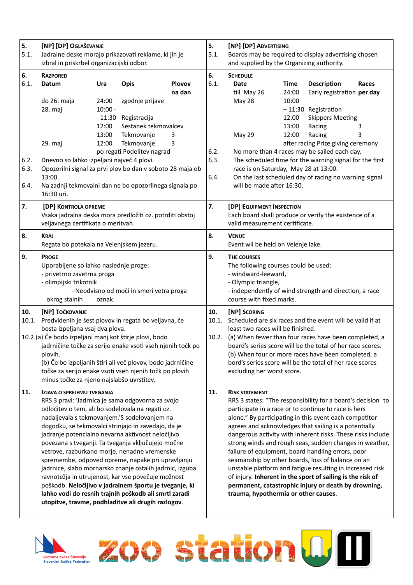| 5.<br>5.1.           | [NP] [DP] OGLAŠEVANJE<br>Jadralne deske morajo prikazovati reklame, ki jih je<br>izbral in priskrbel organizacijski odbor.                                                                                                                                                                                                                                                                                                                                                                                                                                                                                                                                                                                                                                   |                                                         |                                                                                      | 5.<br>5.1.            | [NP] [DP] ADVERTISING<br>Boards may be required to display advertising chosen<br>and supplied by the Organizing authority.                                                                                                                                                                                                                                                                                                                                                                                                                                                                                                                                                                                                     |                                                                                                                |                                                          |                                                                                                                        |                 |
|----------------------|--------------------------------------------------------------------------------------------------------------------------------------------------------------------------------------------------------------------------------------------------------------------------------------------------------------------------------------------------------------------------------------------------------------------------------------------------------------------------------------------------------------------------------------------------------------------------------------------------------------------------------------------------------------------------------------------------------------------------------------------------------------|---------------------------------------------------------|--------------------------------------------------------------------------------------|-----------------------|--------------------------------------------------------------------------------------------------------------------------------------------------------------------------------------------------------------------------------------------------------------------------------------------------------------------------------------------------------------------------------------------------------------------------------------------------------------------------------------------------------------------------------------------------------------------------------------------------------------------------------------------------------------------------------------------------------------------------------|----------------------------------------------------------------------------------------------------------------|----------------------------------------------------------|------------------------------------------------------------------------------------------------------------------------|-----------------|
| 6.<br>6.1.           | <b>RAZPORED</b><br>Datum<br>do 26. maja<br>28. maj                                                                                                                                                                                                                                                                                                                                                                                                                                                                                                                                                                                                                                                                                                           | Ura<br>24:00<br>$10:00 -$<br>$-11:30$<br>12:00<br>13:00 | <b>Opis</b><br>zgodnje prijave<br>Registracija<br>Sestanek tekmovalcev<br>Tekmovanje | Plovov<br>na dan<br>3 | 6.<br>6.1.                                                                                                                                                                                                                                                                                                                                                                                                                                                                                                                                                                                                                                                                                                                     | <b>SCHEDULE</b><br><b>Date</b><br>till May 26<br>May 28<br>May 29                                              | <b>Time</b><br>24:00<br>10:00<br>12:00<br>13:00<br>12:00 | <b>Description</b><br>Early registration per day<br>-11:30 Registration<br><b>Skippers Meeting</b><br>Racing<br>Racing | Races<br>3<br>3 |
| 6.2.<br>6.3.<br>6.4. | 12:00<br>Tekmovanje<br>29. maj<br>3<br>po regati Podelitev nagrad<br>Dnevno so lahko izpeljani največ 4 plovi.<br>Opozorilni signal za prvi plov bo dan v soboto 28 maja ob<br>13:00.<br>Na zadnji tekmovalni dan ne bo opozorilnega signala po<br>16:30 uri.                                                                                                                                                                                                                                                                                                                                                                                                                                                                                                |                                                         |                                                                                      | 6.2.<br>6.3.<br>6.4.  | after racing Prize giving ceremony<br>No more than 4 races may be sailed each day.<br>The scheduled time for the warning signal for the first<br>race is on Saturday, May 28 at 13:00.<br>On the last scheduled day of racing no warning signal<br>will be made after 16:30.                                                                                                                                                                                                                                                                                                                                                                                                                                                   |                                                                                                                |                                                          |                                                                                                                        |                 |
| 7.                   | [DP] KONTROLA OPREME<br>Vsaka jadralna deska mora predložiti oz. potrditi obstoj<br>veljavnega certifikata o meritvah.                                                                                                                                                                                                                                                                                                                                                                                                                                                                                                                                                                                                                                       |                                                         |                                                                                      | 7.                    | [DP] EQUIPMENT INSPECTION<br>Each board shall produce or verify the existence of a<br>valid measurement certificate.                                                                                                                                                                                                                                                                                                                                                                                                                                                                                                                                                                                                           |                                                                                                                |                                                          |                                                                                                                        |                 |
| 8.                   | <b>KRAJ</b><br>Regata bo potekala na Velenjskem jezeru.                                                                                                                                                                                                                                                                                                                                                                                                                                                                                                                                                                                                                                                                                                      |                                                         |                                                                                      | 8.                    | <b>VENUE</b><br>Event wil be held on Velenje lake.                                                                                                                                                                                                                                                                                                                                                                                                                                                                                                                                                                                                                                                                             |                                                                                                                |                                                          |                                                                                                                        |                 |
| 9.                   | <b>PROGE</b><br>Uporabljene so lahko naslednje proge:<br>- privetrno zavetrna proga<br>- olimpijski trikotnik<br>- Neodvisno od moči in smeri vetra proga<br>okrog stalnih<br>oznak.                                                                                                                                                                                                                                                                                                                                                                                                                                                                                                                                                                         |                                                         |                                                                                      | 9.                    | THE COURSES<br>The following courses could be used:<br>- windward-leeward,<br>- Olympic triangle,<br>- independently of wind strength and direction, a race<br>course with fixed marks.                                                                                                                                                                                                                                                                                                                                                                                                                                                                                                                                        |                                                                                                                |                                                          |                                                                                                                        |                 |
| 10.<br>10.1.         | [NP] TOČKOVANJE<br>Predvidenih je šest plovov in regata bo veljavna, če                                                                                                                                                                                                                                                                                                                                                                                                                                                                                                                                                                                                                                                                                      |                                                         |                                                                                      |                       | 10.<br>10.1.                                                                                                                                                                                                                                                                                                                                                                                                                                                                                                                                                                                                                                                                                                                   | [NP] SCORING<br>Scheduled are six races and the event will be valid if at<br>least two races will be finished. |                                                          |                                                                                                                        |                 |
|                      | bosta izpeljana vsaj dva plova.<br>10.2.(a) Če bodo izpeljani manj kot štirje plovi, bodo<br>jadrničine točke za serijo enake vsoti vseh njenih točk po<br>plovih.<br>(b) Če bo izpeljanih štiri ali več plovov, bodo jadrničine<br>točke za serijo enake vsoti vseh njenih točk po plovih<br>minus točke za njeno najslabšo uvrstitev.                                                                                                                                                                                                                                                                                                                                                                                                                      |                                                         |                                                                                      | 10.2.                 | (a) When fewer than four races have been completed, a<br>board's series score will be the total of her race scores.<br>(b) When four or more races have been completed, a<br>bord's series score will be the total of her race scores<br>excluding her worst score.                                                                                                                                                                                                                                                                                                                                                                                                                                                            |                                                                                                                |                                                          |                                                                                                                        |                 |
| 11.                  | <b>IZJAVA O SPREJEMU TVEGANJA</b><br>RRS 3 pravi: 'Jadrnica je sama odgovorna za svojo<br>odločitev o tem, ali bo sodelovala na regati oz.<br>nadaljevala s tekmovanjem.'S sodelovanjem na<br>dogodku, se tekmovalci strinjajo in zavedajo, da je<br>jadranje potencialno nevarna aktivnost neločljivo<br>povezana s tveganji. Ta tveganja vključujejo močne<br>vetrove, razburkano morje, nenadne vremenske<br>spremembe, odpoved opreme, napake pri upravljanju<br>jadrnice, slabo mornarsko znanje ostalih jadrnic, izguba<br>ravnotežja in utrujenost, kar vse povečuje možnost<br>poškodb. Neločljivo v jadralnem športu je tveganje, ki<br>lahko vodi do resnih trajnih poškodb ali smrti zaradi<br>utopitve, travme, podhladitve ali drugih razlogov. |                                                         |                                                                                      | 11.                   | <b>RISK STATEMENT</b><br>RRS 3 states: "The responsibility for a board's decision to<br>participate in a race or to continue to race is hers<br>alone." By participating in this event each competitor<br>agrees and acknowledges that sailing is a potentially<br>dangerous activity with inherent risks. These risks include<br>strong winds and rough seas, sudden changes in weather,<br>failure of equipment, board handling errors, poor<br>seamanship by other boards, loss of balance on an<br>unstable platform and fatigue resulting in increased risk<br>of injury. Inherent in the sport of sailing is the risk of<br>permanent, catastrophic injury or death by drowning,<br>trauma, hypothermia or other causes. |                                                                                                                |                                                          |                                                                                                                        |                 |